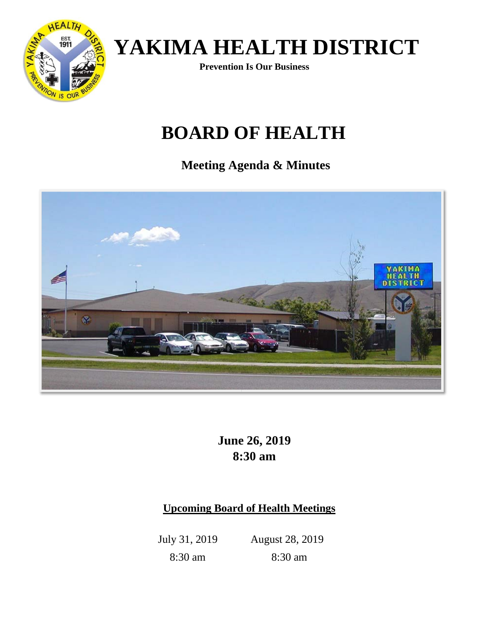

**Prevention Is Our Business** 

## **BOARD OF HEALTH**

**Meeting Agenda & Minutes** 



**June 26, 2019 8:30 am**

### **Upcoming Board of Health Meetings**

July 31, 2019 August 28, 2019 8:30 am 8:30 am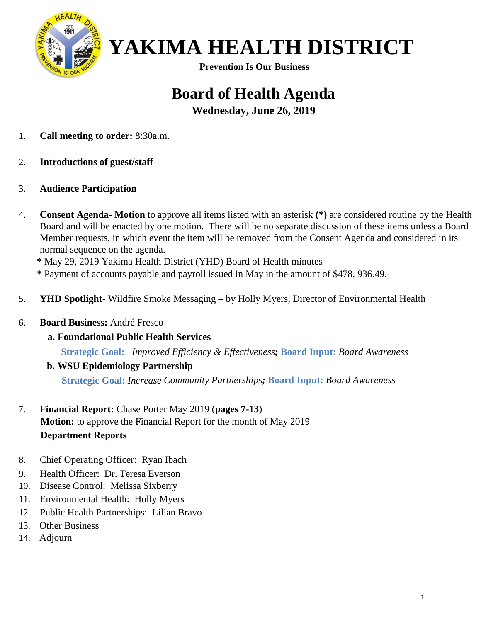

**Prevention Is Our Business** 

## **Board of Health Agenda**

**Wednesday, June 26, 2019**

- 1. **Call meeting to order:** 8:30a.m.
- 2. **Introductions of guest/staff**
- 3. **Audience Participation**
- 4. **Consent Agenda- Motion** to approve all items listed with an asterisk **(\*)** are considered routine by the Health Board and will be enacted by one motion. There will be no separate discussion of these items unless a Board Member requests, in which event the item will be removed from the Consent Agenda and considered in its normal sequence on the agenda.

**\*** May 29, 2019 Yakima Health District (YHD) Board of Health minutes

**\*** Payment of accounts payable and payroll issued in May in the amount of \$478, 936.49.

- 5. **YHD Spotlight** Wildfire Smoke Messaging by Holly Myers, Director of Environmental Health
- 6. **Board Business:** André Fresco
	- **a. Foundational Public Health Services**

**Strategic Goal:** *Improved Efficiency & Effectiveness;* **Board Input:** *Board Awareness*

**b. WSU Epidemiology Partnership**

**Strategic Goal:** *Increase Community Partnerships;* **Board Input:** *Board Awareness*

- 7. **Financial Report:** Chase Porter May 2019 (**pages 7-13**) **Motion:** to approve the Financial Report for the month of May 2019 **Department Reports**
- 8. Chief Operating Officer: Ryan Ibach
- 9. Health Officer: Dr. Teresa Everson
- 10. Disease Control: Melissa Sixberry
- 11. Environmental Health: Holly Myers
- 12. Public Health Partnerships: Lilian Bravo
- 13. Other Business
- 14. Adjourn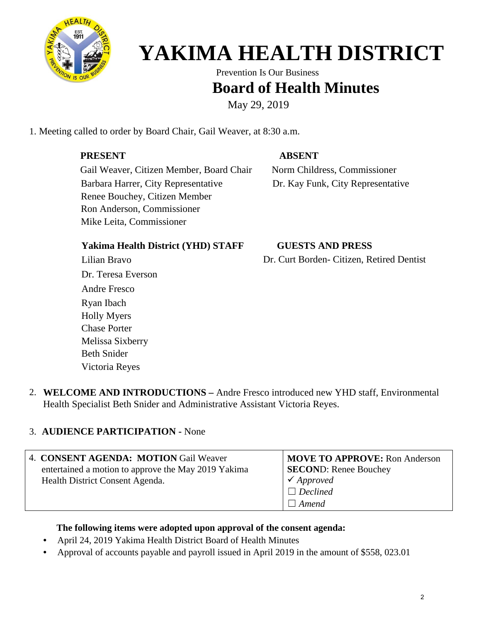

Prevention Is Our Business

### **Board of Health Minutes**

May 29, 2019

1. Meeting called to order by Board Chair, Gail Weaver, at 8:30 a.m.

#### **PRESENT ABSENT**

Gail Weaver, Citizen Member, Board Chair Norm Childress, Commissioner Barbara Harrer, City Representative Dr. Kay Funk, City Representative Renee Bouchey, Citizen Member Ron Anderson, Commissioner Mike Leita, Commissioner

#### **Yakima Health District (YHD) STAFF**

Lilian Bravo Dr. Teresa Everson Andre Fresco Ryan Ibach Holly Myers Chase Porter Melissa Sixberry Beth Snider Victoria Reyes

#### **GUESTS AND PRESS**

Dr. Curt Borden- Citizen, Retired Dentist

2. **WELCOME AND INTRODUCTIONS –** Andre Fresco introduced new YHD staff, Environmental Health Specialist Beth Snider and Administrative Assistant Victoria Reyes.

#### 3. **AUDIENCE PARTICIPATION -** None

|                                 | 4. CONSENT AGENDA: MOTION Gail Weaver               | <b>MOVE TO APPROVE:</b> Ron Anderson |
|---------------------------------|-----------------------------------------------------|--------------------------------------|
|                                 | entertained a motion to approve the May 2019 Yakima | <b>SECOND:</b> Renee Bouchey         |
| Health District Consent Agenda. |                                                     | $\checkmark$ Approved                |
|                                 |                                                     | $\Box$ Declined                      |
|                                 |                                                     | $\Box$ Amend                         |

#### **The following items were adopted upon approval of the consent agenda:**

- April 24, 2019 Yakima Health District Board of Health Minutes
- Approval of accounts payable and payroll issued in April 2019 in the amount of \$558, 023.01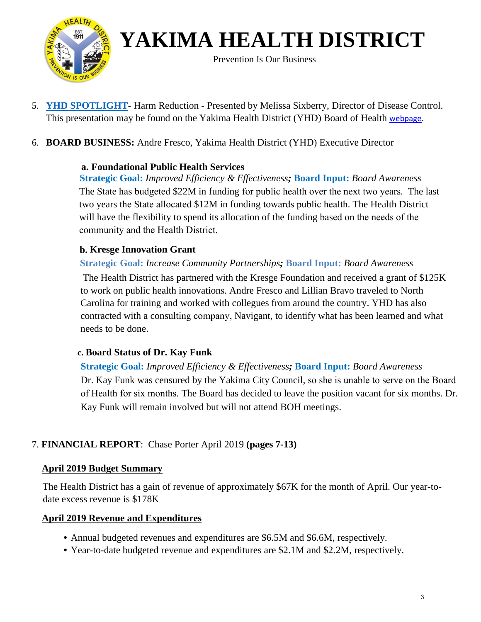

Prevention Is Our Business

- 5. **YHD SPOTLIGHT-** Harm Reduction Presented by Melissa Sixberry, Director of Disease Control. This presentation may be found on the Yakima Health District (YHD) Board of Health [webpage.](https://yakimacounty.us/DocumentCenter/View/21509/May--Harm-Reduction)
- 6. **BOARD BUSINESS:** Andre Fresco, Yakima Health District (YHD) Executive Director

#### **a. Foundational Public Health Services**

**Strategic Goal:** *Improved Efficiency & Effectiveness;* **Board Input:** *Board Awareness* The State has budgeted \$22M in funding for public health over the next two years. The last two years the State allocated \$12M in funding towards public health. The Health District will have the flexibility to spend its allocation of the funding based on the needs of the community and the Health District.

#### **b. Kresge Innovation Grant**

#### **Strategic Goal:** *Increase Community Partnerships;* **Board Input:** *Board Awareness*

The Health District has partnered with the Kresge Foundation and received a grant of \$125K to work on public health innovations. Andre Fresco and Lillian Bravo traveled to North Carolina for training and worked with collegues from around the country. YHD has also contracted with a consulting company, Navigant, to identify what has been learned and what needs to be done.

#### **c. Board Status of Dr. Kay Funk**

**Strategic Goal:** *Improved Efficiency & Effectiveness;* **Board Input:** *Board Awareness* Dr. Kay Funk was censured by the Yakima City Council, so she is unable to serve on the Board of Health for six months. The Board has decided to leave the position vacant for six months. Dr. Kay Funk will remain involved but will not attend BOH meetings.

#### 7. **FINANCIAL REPORT**: Chase Porter April 2019 **(pages 7-13)**

#### **April 2019 Budget Summary**

The Health District has a gain of revenue of approximately \$67K for the month of April. Our year-todate excess revenue is \$178K

#### **April 2019 Revenue and Expenditures**

- Annual budgeted revenues and expenditures are \$6.5M and \$6.6M, respectively.
- Year-to-date budgeted revenue and expenditures are \$2.1M and \$2.2M, respectively.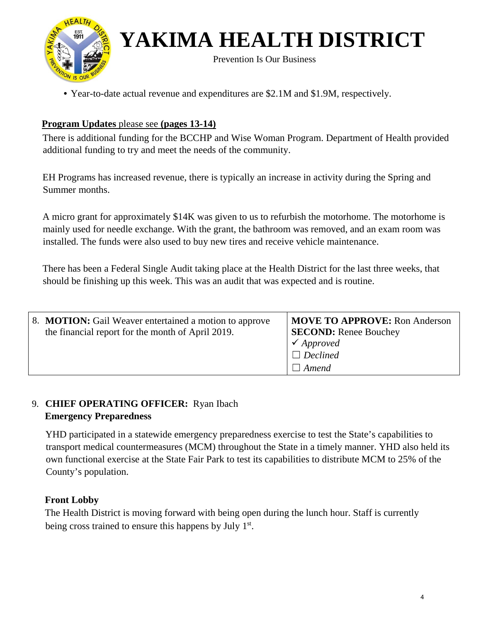

Prevention Is Our Business

• Year-to-date actual revenue and expenditures are \$2.1M and \$1.9M, respectively.

#### **Program Updates** please see **(pages 13-14)**

There is additional funding for the BCCHP and Wise Woman Program. Department of Health provided additional funding to try and meet the needs of the community.

EH Programs has increased revenue, there is typically an increase in activity during the Spring and Summer months.

A micro grant for approximately \$14K was given to us to refurbish the motorhome. The motorhome is mainly used for needle exchange. With the grant, the bathroom was removed, and an exam room was installed. The funds were also used to buy new tires and receive vehicle maintenance.

There has been a Federal Single Audit taking place at the Health District for the last three weeks, that should be finishing up this week. This was an audit that was expected and is routine.

| 8. <b>MOTION:</b> Gail Weaver entertained a motion to approve<br>the financial report for the month of April 2019. | MOVE TO APPROVE: Ron Anderson<br><b>SECOND:</b> Renee Bouchey<br>$\checkmark$ Approved |
|--------------------------------------------------------------------------------------------------------------------|----------------------------------------------------------------------------------------|
|                                                                                                                    | $\Box$ Declined                                                                        |
|                                                                                                                    | $\Box$ Amend                                                                           |

#### 9. **CHIEF OPERATING OFFICER:** Ryan Ibach **Emergency Preparedness**

YHD participated in a statewide emergency preparedness exercise to test the State's capabilities to transport medical countermeasures (MCM) throughout the State in a timely manner. YHD also held its own functional exercise at the State Fair Park to test its capabilities to distribute MCM to 25% of the County's population.

#### **Front Lobby**

The Health District is moving forward with being open during the lunch hour. Staff is currently being cross trained to ensure this happens by July 1<sup>st</sup>.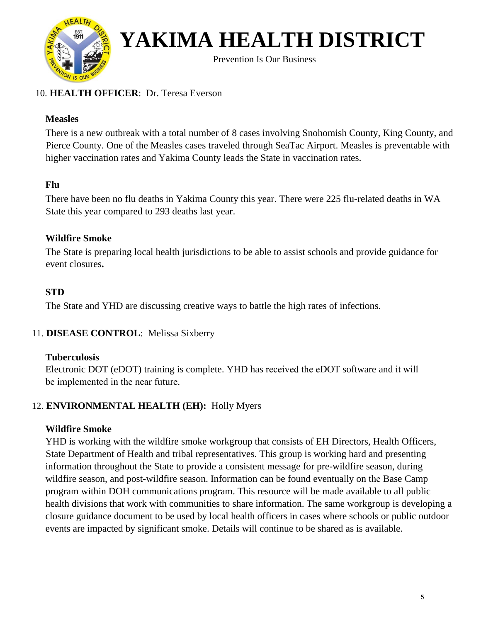

Prevention Is Our Business

#### 10. **HEALTH OFFICER**: Dr. Teresa Everson

#### **Measles**

There is a new outbreak with a total number of 8 cases involving Snohomish County, King County, and Pierce County. One of the Measles cases traveled through SeaTac Airport. Measles is preventable with higher vaccination rates and Yakima County leads the State in vaccination rates.

#### **Flu**

There have been no flu deaths in Yakima County this year. There were 225 flu-related deaths in WA State this year compared to 293 deaths last year.

#### **Wildfire Smoke**

The State is preparing local health jurisdictions to be able to assist schools and provide guidance for event closures**.** 

#### **STD**

The State and YHD are discussing creative ways to battle the high rates of infections.

#### 11. **DISEASE CONTROL**: Melissa Sixberry

#### **Tuberculosis**

Electronic DOT (eDOT) training is complete. YHD has received the eDOT software and it will be implemented in the near future.

#### 12. **ENVIRONMENTAL HEALTH (EH):** Holly Myers

#### **Wildfire Smoke**

YHD is working with the wildfire smoke workgroup that consists of EH Directors, Health Officers, State Department of Health and tribal representatives. This group is working hard and presenting information throughout the State to provide a consistent message for pre-wildfire season, during wildfire season, and post-wildfire season. Information can be found eventually on the Base Camp program within DOH communications program. This resource will be made available to all public health divisions that work with communities to share information. The same workgroup is developing a closure guidance document to be used by local health officers in cases where schools or public outdoor events are impacted by significant smoke. Details will continue to be shared as is available.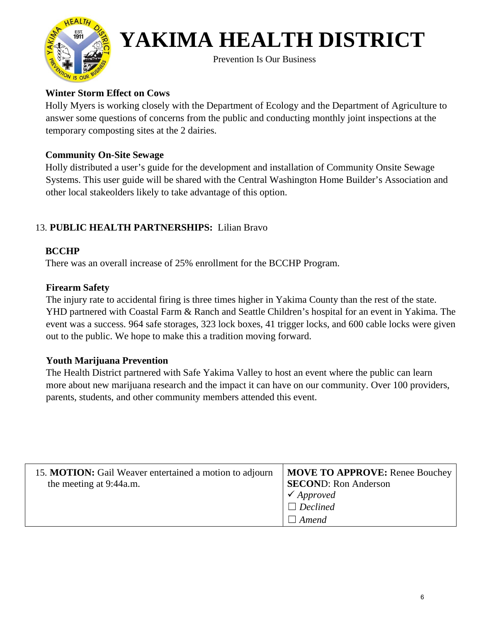

Prevention Is Our Business

#### **Winter Storm Effect on Cows**

Holly Myers is working closely with the Department of Ecology and the Department of Agriculture to answer some questions of concerns from the public and conducting monthly joint inspections at the temporary composting sites at the 2 dairies.

#### **Community On-Site Sewage**

Holly distributed a user's guide for the development and installation of Community Onsite Sewage Systems. This user guide will be shared with the Central Washington Home Builder's Association and other local stakeolders likely to take advantage of this option.

#### 13. **PUBLIC HEALTH PARTNERSHIPS:** Lilian Bravo

#### **BCCHP**

There was an overall increase of 25% enrollment for the BCCHP Program.

#### **Firearm Safety**

The injury rate to accidental firing is three times higher in Yakima County than the rest of the state. YHD partnered with Coastal Farm & Ranch and Seattle Children's hospital for an event in Yakima. The event was a success. 964 safe storages, 323 lock boxes, 41 trigger locks, and 600 cable locks were given out to the public. We hope to make this a tradition moving forward.

#### **Youth Marijuana Prevention**

The Health District partnered with Safe Yakima Valley to host an event where the public can learn more about new marijuana research and the impact it can have on our community. Over 100 providers, parents, students, and other community members attended this event.

| 15. MOTION: Gail Weaver entertained a motion to adjourn<br>the meeting at 9:44a.m. | <b>MOVE TO APPROVE:</b> Renee Bouchey<br><b>SECOND:</b> Ron Anderson<br>$\checkmark$ Approved |
|------------------------------------------------------------------------------------|-----------------------------------------------------------------------------------------------|
|                                                                                    | $\Box$ Declined<br>Amend                                                                      |
|                                                                                    |                                                                                               |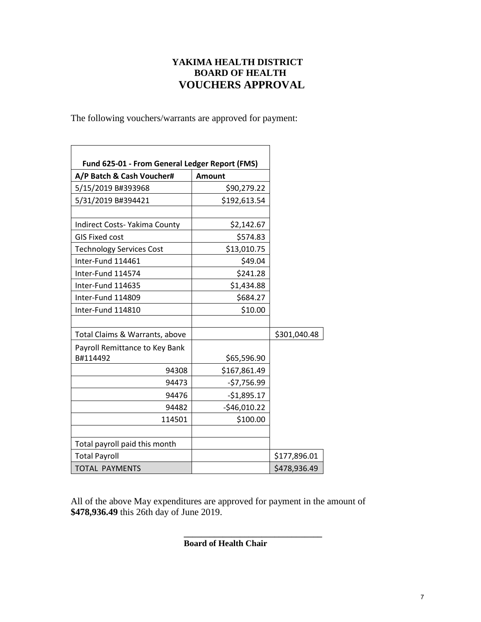#### **YAKIMA HEALTH DISTRICT BOARD OF HEALTH VOUCHERS APPROVAL**

The following vouchers/warrants are approved for payment:

| Fund 625-01 - From General Ledger Report (FMS) |               |              |
|------------------------------------------------|---------------|--------------|
| A/P Batch & Cash Voucher#                      | <b>Amount</b> |              |
| 5/15/2019 B#393968                             | \$90,279.22   |              |
| 5/31/2019 B#394421                             | \$192,613.54  |              |
| Indirect Costs- Yakima County                  | \$2,142.67    |              |
| <b>GIS Fixed cost</b>                          | \$574.83      |              |
| <b>Technology Services Cost</b>                | \$13,010.75   |              |
| Inter-Fund 114461                              | \$49.04       |              |
| Inter-Fund 114574                              | \$241.28      |              |
| Inter-Fund 114635                              | \$1,434.88    |              |
| Inter-Fund 114809                              | \$684.27      |              |
| Inter-Fund 114810                              | \$10.00       |              |
| Total Claims & Warrants, above                 |               | \$301,040.48 |
| Payroll Remittance to Key Bank<br>B#114492     | \$65,596.90   |              |
| 94308                                          | \$167,861.49  |              |
| 94473                                          | $-57,756.99$  |              |
| 94476                                          | $-$1,895.17$  |              |
| 94482                                          | $-$46,010.22$ |              |
| 114501                                         | \$100.00      |              |
|                                                |               |              |
| Total payroll paid this month                  |               |              |
| <b>Total Payroll</b>                           |               | \$177,896.01 |
| <b>TOTAL PAYMENTS</b>                          |               | \$478,936.49 |

All of the above May expenditures are approved for payment in the amount of **\$478,936.49** this 26th day of June 2019.

**Board of Health Chair** 

**\_\_\_\_\_\_\_\_\_\_\_\_\_\_\_\_\_\_\_\_\_\_\_\_\_\_\_\_\_\_\_\_**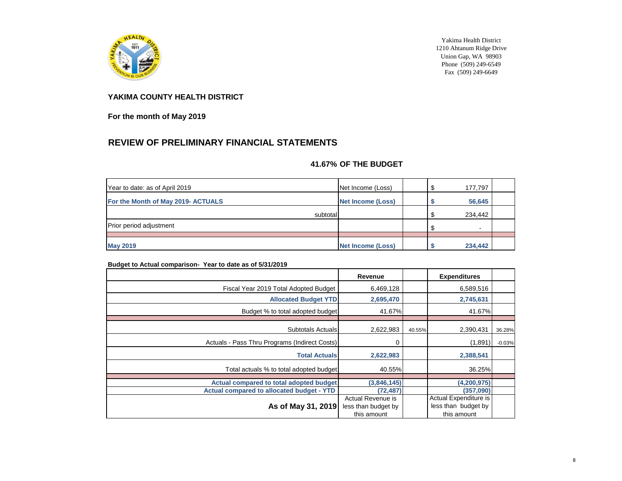

Yakima Health District 1210 Ahtanum Ridge Drive Union Gap, WA 98903 Phone  $(509)$  249-6549 Fax (509) 249-6649

#### **YAKIMA COUNTY HEALTH DISTRICT**

**For the month of May 2019**

### **REVIEW OF PRELIMINARY FINANCIAL STATEMENTS**

#### **41.67% OF THE BUDGET**

| Year to date: as of April 2019     | Net Income (Loss) | 177,797 |  |
|------------------------------------|-------------------|---------|--|
| For the Month of May 2019- ACTUALS | Net Income (Loss) | 56,645  |  |
| subtotal                           |                   | 234,442 |  |
| <b>Prior period adjustment</b>     |                   | н.      |  |
|                                    |                   |         |  |
| <b>May 2019</b>                    | Net Income (Loss) | 234,442 |  |

#### **Budget to Actual comparison- Year to date as of 5/31/2019**

| Revenue                                  |                            | <b>Expenditures</b>                          |                                      |
|------------------------------------------|----------------------------|----------------------------------------------|--------------------------------------|
| 6,469,128                                |                            | 6,589,516                                    |                                      |
| <b>Allocated Budget YTD</b><br>2,695,470 |                            | 2,745,631                                    |                                      |
| Budget % to total adopted budget         |                            | 41.67%                                       |                                      |
|                                          |                            |                                              |                                      |
| 2,622,983<br>Subtotals Actuals           |                            | 2,390,431                                    | 36.28%                               |
| 0                                        |                            | (1,891)                                      | $-0.03%$                             |
| <b>Total Actuals</b><br>2,622,983        |                            | 2,388,541                                    |                                      |
| Total actuals % to total adopted budget  |                            | 36.25%                                       |                                      |
|                                          |                            |                                              |                                      |
| Actual compared to total adopted budget  |                            |                                              |                                      |
| (72, 487)                                |                            | (357,090)                                    |                                      |
| Actual Revenue is<br>less than budget by |                            | Actual Expenditure is<br>less than budget by |                                      |
|                                          | (3,846,145)<br>this amount | 41.67%<br>40.55%                             | 40.55%<br>(4,200,975)<br>this amount |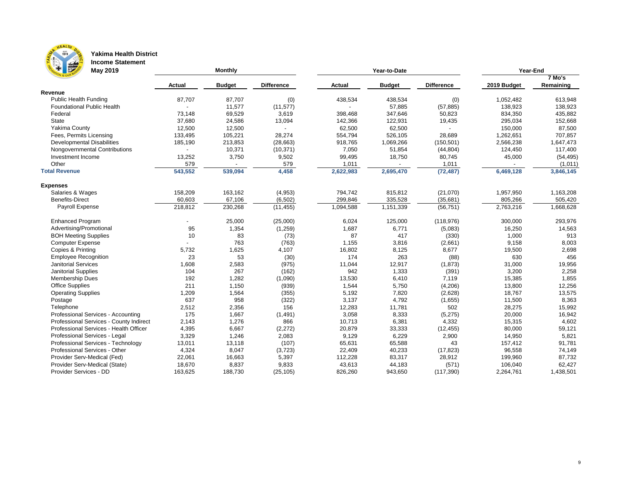

### **Yakima Health District**

**Income Statement**

| For the second<br>May 2019              |               | Monthly       |                   |               | Year-to-Date  | Year-End          |             |           |  |
|-----------------------------------------|---------------|---------------|-------------------|---------------|---------------|-------------------|-------------|-----------|--|
|                                         |               |               |                   |               |               |                   |             | 7 Mo's    |  |
|                                         | <b>Actual</b> | <b>Budget</b> | <b>Difference</b> | <b>Actual</b> | <b>Budget</b> | <b>Difference</b> | 2019 Budget | Remaining |  |
| Revenue                                 |               |               |                   |               |               |                   |             |           |  |
| <b>Public Health Funding</b>            | 87,707        | 87,707        | (0)               | 438,534       | 438,534       | (0)               | 1,052,482   | 613,948   |  |
| <b>Foundational Public Health</b>       |               | 11,577        | (11, 577)         |               | 57,885        | (57, 885)         | 138,923     | 138,923   |  |
| Federal                                 | 73,148        | 69,529        | 3,619             | 398,468       | 347,646       | 50,823            | 834,350     | 435,882   |  |
| State                                   | 37,680        | 24,586        | 13,094            | 142,366       | 122,931       | 19,435            | 295,034     | 152,668   |  |
| Yakima County                           | 12,500        | 12,500        |                   | 62,500        | 62,500        |                   | 150,000     | 87,500    |  |
| Fees, Permits Licensing                 | 133,495       | 105,221       | 28,274            | 554,794       | 526,105       | 28,689            | 1,262,651   | 707,857   |  |
| <b>Developmental Disabilities</b>       | 185,190       | 213,853       | (28, 663)         | 918,765       | 1,069,266     | (150, 501)        | 2,566,238   | 1,647,473 |  |
| Nongovernmental Contributions           |               | 10,371        | (10, 371)         | 7,050         | 51,854        | (44, 804)         | 124,450     | 117,400   |  |
| Investment Income                       | 13,252        | 3,750         | 9,502             | 99,495        | 18,750        | 80,745            | 45,000      | (54, 495) |  |
| Other                                   | 579           |               | 579               | 1,011         |               | 1,011             |             | (1,011)   |  |
| <b>Total Revenue</b>                    | 543,552       | 539,094       | 4,458             | 2,622,983     | 2,695,470     | (72, 487)         | 6,469,128   | 3,846,145 |  |
| <b>Expenses</b>                         |               |               |                   |               |               |                   |             |           |  |
| Salaries & Wages                        | 158,209       | 163,162       | (4,953)           | 794,742       | 815,812       | (21,070)          | 1,957,950   | 1,163,208 |  |
| <b>Benefits-Direct</b>                  | 60,603        | 67,106        | (6, 502)          | 299,846       | 335,528       | (35,681)          | 805,266     | 505,420   |  |
| Payroll Expense                         | 218,812       | 230,268       | (11, 455)         | 1,094,588     | 1,151,339     | (56, 751)         | 2,763,216   | 1,668,628 |  |
| <b>Enhanced Program</b>                 |               | 25,000        | (25,000)          | 6,024         | 125,000       | (118, 976)        | 300,000     | 293,976   |  |
| Advertising/Promotional                 | 95            | 1,354         | (1,259)           | 1,687         | 6,771         | (5,083)           | 16,250      | 14,563    |  |
| <b>BOH Meeting Supplies</b>             | 10            | 83            | (73)              | 87            | 417           | (330)             | 1,000       | 913       |  |
| <b>Computer Expense</b>                 |               | 763           | (763)             | 1,155         | 3,816         | (2,661)           | 9,158       | 8,003     |  |
| Copies & Printing                       | 5,732         | 1,625         | 4,107             | 16,802        | 8,125         | 8,677             | 19,500      | 2,698     |  |
| <b>Employee Recognition</b>             | 23            | 53            | (30)              | 174           | 263           | (88)              | 630         | 456       |  |
| <b>Janitorial Services</b>              | 1,608         | 2,583         | (975)             | 11,044        | 12,917        | (1,873)           | 31,000      | 19,956    |  |
| <b>Janitorial Supplies</b>              | 104           | 267           | (162)             | 942           | 1,333         | (391)             | 3,200       | 2,258     |  |
| <b>Membership Dues</b>                  | 192           | 1,282         | (1,090)           | 13,530        | 6,410         | 7,119             | 15,385      | 1,855     |  |
| <b>Office Supplies</b>                  | 211           | 1,150         | (939)             | 1,544         | 5,750         | (4,206)           | 13,800      | 12,256    |  |
| <b>Operating Supplies</b>               | 1,209         | 1,564         | (355)             | 5,192         | 7,820         | (2,628)           | 18,767      | 13,575    |  |
| Postage                                 | 637           | 958           | (322)             | 3,137         | 4,792         | (1,655)           | 11,500      | 8,363     |  |
| Telephone                               | 2,512         | 2,356         | 156               | 12,283        | 11,781        | 502               | 28,275      | 15,992    |  |
| Professional Services - Accounting      | 175           | 1,667         | (1, 491)          | 3,058         | 8,333         | (5,275)           | 20,000      | 16,942    |  |
| Professional Services - County Indirect | 2,143         | 1,276         | 866               | 10,713        | 6,381         | 4,332             | 15,315      | 4,602     |  |
| Professional Services - Health Officer  | 4,395         | 6,667         | (2, 272)          | 20,879        | 33,333        | (12, 455)         | 80,000      | 59,121    |  |
| Professional Services - Legal           | 3,329         | 1,246         | 2,083             | 9,129         | 6,229         | 2,900             | 14,950      | 5,821     |  |
| Professional Services - Technology      | 13,011        | 13,118        | (107)             | 65,631        | 65,588        | 43                | 157,412     | 91,781    |  |
| Professional Services - Other           | 4,324         | 8,047         | (3,723)           | 22,409        | 40,233        | (17, 823)         | 96,558      | 74,149    |  |
| Provider Serv-Medical (Fed)             | 22,061        | 16,663        | 5,397             | 112,228       | 83,317        | 28,912            | 199,960     | 87,732    |  |
| Provider Serv-Medical (State)           | 18,670        | 8,837         | 9,833             | 43,613        | 44,183        | (571)             | 106,040     | 62,427    |  |
| Provider Services - DD                  | 163,625       | 188,730       | (25, 105)         | 826,260       | 943,650       | (117, 390)        | 2,264,761   | 1,438,501 |  |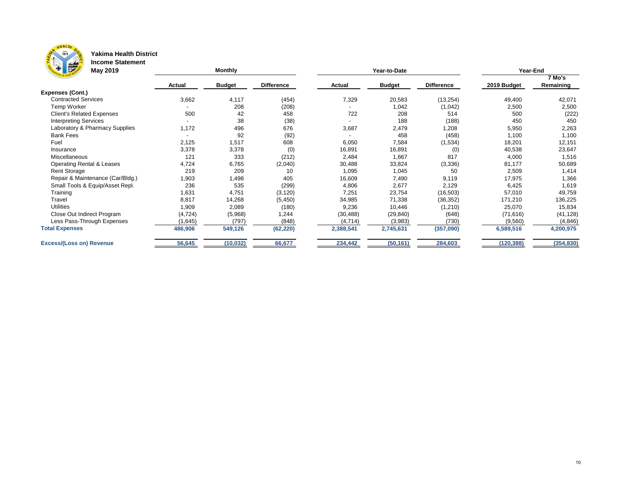

#### **Yakima Health District Income Statement**

| <b>Figures</b><br><b>May 2019</b>    |               | <b>Monthly</b> |                   |               | Year-to-Date  | Year-End          |             |            |
|--------------------------------------|---------------|----------------|-------------------|---------------|---------------|-------------------|-------------|------------|
|                                      |               |                |                   |               |               |                   |             | 7 Mo's     |
|                                      | <b>Actual</b> | <b>Budget</b>  | <b>Difference</b> | <b>Actual</b> | <b>Budget</b> | <b>Difference</b> | 2019 Budget | Remaining  |
| <b>Expenses (Cont.)</b>              |               |                |                   |               |               |                   |             |            |
| <b>Contracted Services</b>           | 3,662         | 4,117          | (454)             | 7,329         | 20,583        | (13, 254)         | 49,400      | 42,071     |
| <b>Temp Worker</b>                   |               | 208            | (208)             |               | 1,042         | (1,042)           | 2,500       | 2,500      |
| <b>Client's Related Expenses</b>     | 500           | 42             | 458               | 722           | 208           | 514               | 500         | (222)      |
| <b>Interpreting Services</b>         |               | 38             | (38)              |               | 188           | (188)             | 450         | 450        |
| Laboratory & Pharmacy Supplies       | 1,172         | 496            | 676               | 3,687         | 2,479         | 1,208             | 5,950       | 2,263      |
| <b>Bank Fees</b>                     |               | 92             | (92)              |               | 458           | (458)             | 1,100       | 1,100      |
| Fuel                                 | 2,125         | 1,517          | 608               | 6,050         | 7,584         | (1,534)           | 18,201      | 12,151     |
| Insurance                            | 3,378         | 3,378          | (0)               | 16,891        | 16,891        | (0)               | 40,538      | 23,647     |
| Miscellaneous                        | 121           | 333            | (212)             | 2,484         | 1,667         | 817               | 4,000       | 1,516      |
| <b>Operating Rental &amp; Leases</b> | 4,724         | 6,765          | (2,040)           | 30,488        | 33,824        | (3, 336)          | 81,177      | 50,689     |
| <b>Rent Storage</b>                  | 219           | 209            | 10                | 1,095         | 1,045         | 50                | 2,509       | 1,414      |
| Repair & Maintenance (Car/Bldg.)     | 1,903         | 1,498          | 405               | 16,609        | 7,490         | 9,119             | 17,975      | 1,366      |
| Small Tools & Equip/Asset Repl.      | 236           | 535            | (299)             | 4,806         | 2,677         | 2,129             | 6,425       | 1,619      |
| Training                             | 1,631         | 4,751          | (3, 120)          | 7,251         | 23,754        | (16, 503)         | 57,010      | 49,759     |
| Travel                               | 8,817         | 14,268         | (5, 450)          | 34,985        | 71,338        | (36, 352)         | 171,210     | 136,225    |
| <b>Utilities</b>                     | 1,909         | 2,089          | (180)             | 9,236         | 10,446        | (1, 210)          | 25,070      | 15,834     |
| Close Out Indirect Program           | (4, 724)      | (5,968)        | 1,244             | (30, 488)     | (29, 840)     | (648)             | (71, 616)   | (41, 128)  |
| Less Pass-Through Expenses           | (1,645)       | (797)          | (848)             | (4, 714)      | (3,983)       | (730)             | (9,560)     | (4, 846)   |
| <b>Total Expenses</b>                | 486,906       | 549,126        | (62, 220)         | 2,388,541     | 2,745,631     | (357,090)         | 6,589,516   | 4,200,975  |
| <b>Excess/(Loss on) Revenue</b>      | 56,645        | (10, 032)      | 66,677            | 234,442       | (50, 161)     | 284,603           | (120, 388)  | (354, 830) |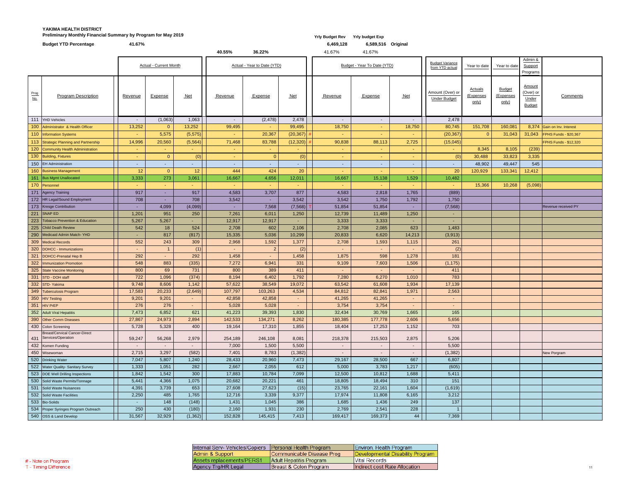### **YAKIMA HEALTH DISTRICT** Preliminary Monthly Financial Summary by Program for May 2019 *Preliminary Monthly Financial Summary by Program for May 2019 Yrly Budget Rev**Yrly Budget Rev**Yrly budget Exp*

|                    | <b>Budget YTD Percentage</b>                                   | 41.67%          |                               |                |         |                             |                | 6,469,128       | 6,589,516 Original          |        |                                          |                                             |                                     |                                                      |                                |
|--------------------|----------------------------------------------------------------|-----------------|-------------------------------|----------------|---------|-----------------------------|----------------|-----------------|-----------------------------|--------|------------------------------------------|---------------------------------------------|-------------------------------------|------------------------------------------------------|--------------------------------|
|                    |                                                                |                 |                               |                | 40.55%  | 36.22%                      |                | 41.67%          | 41.67%                      |        |                                          |                                             |                                     |                                                      |                                |
|                    |                                                                |                 | <b>Actual - Current Month</b> |                |         | Actual - Year to Date (YTD) |                |                 | Budget - Year To Date (YTD) |        | <b>Budget Variance</b><br>from YTD actua | Year to date                                | Year to date                        | Admin &<br>Support<br>Programs                       |                                |
| Prog<br><u>No.</u> | <b>Program Description</b>                                     | <b>Revenue</b>  | <b>Expense</b>                | $Net$          | Revenue | <b>Expense</b>              | $Net$          | Revenue         | <b>Expense</b>              | $Net$  | Amount (Over) or<br><b>Under Budget</b>  | <b>Actuals</b><br><u>(Expenses</u><br>only) | <b>Budget</b><br>(Expenses<br>only) | <b>Amount</b><br>(Over) or<br>Under<br><b>Budget</b> | Comments                       |
| 111                | YHD Vehicles                                                   | $\sim$          | (1,063)                       | 1,063          | $\sim$  | (2, 478)                    | 2,478          | $\sim$          | $\sim$                      | $\sim$ | 2,478                                    |                                             |                                     |                                                      |                                |
|                    | 100 Administrator & Health Officer                             | 13,252          | $\overline{0}$                | 13,252         | 99,495  | $\sim$                      | 99,495         | 18,750          | <b>Section</b>              | 18,750 | 80,745                                   | 151,708                                     | 160,081                             |                                                      | 8,374 Gain on Inv. Interest    |
|                    | 110 Information Systems                                        | $\sim$          | 5,575                         | (5,575)        | $\sim$  | 20,367                      | $(20, 367)$ #  | <b>Contract</b> | <b>COL</b>                  | $\sim$ | (20, 367)                                |                                             | 31,043                              |                                                      | 31,043   FPHS Funds - \$20,367 |
|                    | 113 Strategic Planning and Partnership                         | 14,996          | 20,560                        | (5,564)        | 71,468  | 83,788                      | $(12,320)$ ;   | 90,838          | 88,113                      | 2,725  | (15,045)                                 |                                             |                                     |                                                      | FPHS Funds - \$12,320          |
|                    | 120 Community Health Administration                            | $\sim$          |                               | $\sim$         | $\sim$  |                             | $\sim$         | <b>Co</b>       | <b>Co</b>                   | $\sim$ | $\sim$                                   | 8,345                                       | 8,105                               | (239)                                                |                                |
|                    | 130 Building, Fixtures                                         | $\sim$          | $\overline{0}$                | (0)            | $\sim$  | $\overline{0}$              | (0)            | <b>Contract</b> | <b>Section</b>              | $\sim$ | (0)                                      | 30,488                                      | 33,823                              | 3,335                                                |                                |
|                    | 150 EH Administration                                          | $\sim$          | $\sim$                        | ٠              | $\sim$  |                             | $\blacksquare$ | $\sim$          | $\sim$                      | ж.     | $\sim$                                   | 48,902                                      | 49,447                              | 545                                                  |                                |
|                    | 160 Business Management                                        | 12 <sub>2</sub> | $\overline{0}$                | 12             | 444     | 424                         | 20             | <b>Contract</b> | <b>Section</b>              | $\sim$ | 20                                       | 120,929                                     | 133,341                             | 12,412                                               |                                |
|                    | 161 Bus Mgmt Unallocated                                       | 3,333           | 273                           | 3,061          | 16,667  | 4,656                       | 12,011         | 16,667          | 15,138                      | 1,529  | 10,482                                   |                                             |                                     |                                                      |                                |
|                    | 170 Personnel                                                  | $\sim$          | <b>Section</b>                | ٠              | $\sim$  |                             | $\sim$         |                 |                             | $\sim$ | $\sim$                                   | 15,366                                      | 10,268                              | (5,098)                                              |                                |
|                    | 171 Agency Training                                            | 917             | ж.                            | 917            | 4,583   | 3,707                       | 877            | 4,583           | 2,818                       | 1,765  | (889)                                    |                                             |                                     |                                                      |                                |
|                    | 172 HR Legal/Sound Employment                                  | 708             |                               | 708            | 3,542   |                             | 3,542          | 3,542           | 1,750                       | 1,792  | 1,750                                    |                                             |                                     |                                                      |                                |
|                    | 173 Kresge Contribution                                        | $\sim$          | 4,099                         | (4,099)        | $\sim$  | 7,568                       | $(7,568)$   1  | 51,854          | 51,854                      | $\sim$ | (7, 568)                                 |                                             |                                     |                                                      | Revenue received PY            |
|                    | 221 SNAP ED                                                    | 1,201           | 951                           | 250            | 7,261   | 6,011                       | 1,250          | 12,739          | 11,489                      | 1,250  | $\blacksquare$                           |                                             |                                     |                                                      |                                |
|                    | 223 Tobacco Prevention & Education                             | 5,267           | 5,267                         |                | 12,917  | 12,917                      | ٠              | 3,333           | 3,333                       | $\sim$ | ٠                                        |                                             |                                     |                                                      |                                |
|                    | 225 Child Death Review                                         | 542             | 18                            | 524            | 2,708   | 602                         | 2,106          | 2,708           | 2,085                       | 623    | 1,483                                    |                                             |                                     |                                                      |                                |
|                    | 290 Medicaid Admin Match-YHD                                   | $\sim$          | 817                           | (817)          | 15,335  | 5,036                       | 10,299         | 20,833          | 6,620                       | 14,213 | (3,913)                                  |                                             |                                     |                                                      |                                |
|                    | 309 Medical Records                                            | 552             | 243                           | 309            | 2,968   | 1,592                       | 1,377          | 2,708           | 1,593                       | 1,115  | 261                                      |                                             |                                     |                                                      |                                |
|                    | 320 DOHCC - Immunizations                                      | $\sim$          |                               | (1)            | ۰.      | $\overline{2}$              | (2)            | $\sim$          | <b>Contract</b>             | $\sim$ | (2)                                      |                                             |                                     |                                                      |                                |
|                    | 321 DOHCC-Prenatal Hep B                                       | 292             | $\sim$                        | 292            | 1,458   |                             | 1,458          | 1,875           | 598                         | 1,278  | 181                                      |                                             |                                     |                                                      |                                |
|                    | 322   Immunization Promotion                                   | 548             | 883                           | (335)          | 7,272   | 6,941                       | 331            | 9,109           | 7,603                       | 1,506  | (1, 175)                                 |                                             |                                     |                                                      |                                |
|                    | 325 State Vaccine Monitoring                                   | 800             | 69                            | 731            | 800     | 389                         | 411            | $\sim$ .        | <b>Contract</b>             | $\sim$ | 411                                      |                                             |                                     |                                                      |                                |
| 331                | STD - DOH staff                                                | 722             | 1,096                         | (374)          | 8,194   | 6,402                       | 1,792          | 7,280           | 6,270                       | 1,010  | 783                                      |                                             |                                     |                                                      |                                |
|                    | 332 STD-Yakima                                                 | 9,748           | 8,606                         | 1,142          | 57,622  | 38,549                      | 19,072         | 63,542          | 61,608                      | 1,934  | 17,139                                   |                                             |                                     |                                                      |                                |
|                    | 349 Tuberculosis Program                                       | 17,583          | 20,233                        | (2,649)        | 107,797 | 103,263                     | 4,534          | 84,812          | 82,841                      | 1,971  | 2,563                                    |                                             |                                     |                                                      |                                |
|                    | 350 HIV Testing                                                | 9,201           | 9,201                         | $\sim$         | 42,858  | 42,858                      | $\blacksquare$ | 41,265          | 41,265                      | $\sim$ | $\blacksquare$                           |                                             |                                     |                                                      |                                |
| 351                | HIV PrEP                                                       | 276             | 276                           | $\sim$         | 5,028   | 5,028                       | $\blacksquare$ | 3,754           | 3,754                       | $\sim$ | $\sim$                                   |                                             |                                     |                                                      |                                |
|                    | 352 Adult Viral Hepatitis                                      | 7,473           | 6,852                         | 621            | 41,223  | 39,393                      | 1,830          | 32,434          | 30,769                      | 1,665  | 165                                      |                                             |                                     |                                                      |                                |
|                    | 390 Other Comm Diseases                                        | 27,867          | 24,973                        | 2,894          | 142,533 | 134,271                     | 8,262          | 180,385         | 177,778                     | 2,606  | 5,656                                    |                                             |                                     |                                                      |                                |
|                    | 430 Colon Screening                                            | 5,728           | 5,328                         | 400            | 19,164  | 17,310                      | 1,855          | 18,404          | 17,253                      | 1,152  | 703                                      |                                             |                                     |                                                      |                                |
|                    | <b>Breast/Cervical Cancer-Direct</b><br>431 Services/Operation | 59,247          | 56,268                        | 2,979          | 254,189 | 246,108                     | 8,081          | 218,378         | 215,503                     | 2,875  | 5,206                                    |                                             |                                     |                                                      |                                |
|                    | 432 Komen Funding                                              | $\sim$          | $\sim$                        | $\blacksquare$ | 7,000   | 1,500                       | 5,500          | $\sim$          | $\sim$                      | $\sim$ | 5,500                                    |                                             |                                     |                                                      |                                |
|                    | 450 Wisewoman                                                  | 2,715           | 3,297                         | (582)          | 7,401   | 8,783                       | (1,382)        | $\sim$          | $\sim$                      | $\sim$ | (1, 382)                                 |                                             |                                     |                                                      | <b>New Porgram</b>             |
|                    | 520 Drinking Water                                             | 7,047           | 5,807                         | 1,240          | 28,433  | 20,960                      | 7,473          | 29,167          | 28,500                      | 667    | 6,807                                    |                                             |                                     |                                                      |                                |
|                    | 522 Water Quality- Sanitary Survey                             | 1,333           | 1,051                         | 282            | 2,667   | 2,055                       | 612            | 5,000           | 3,783                       | 1,217  | (605)                                    |                                             |                                     |                                                      |                                |
|                    | 523  DOE Well Drilling Inspections                             | 1,842           | 1,542                         | 300            | 17,883  | 10,784                      | 7,099          | 12,500          | 10,812                      | 1,688  | 5,411                                    |                                             |                                     |                                                      |                                |
|                    | 530 Solid Waste Permits/Tonnage                                | 5,441           | 4,366                         | 1,075          | 20,682  | 20,221                      | 461            | 18,805          | 18,494                      | 310    | 151                                      |                                             |                                     |                                                      |                                |
|                    | 531 Solid Waste Nuisances                                      | 4,391           | 3,739                         | 653            | 27,608  | 27,623                      | (15)           | 23,765          | 22,161                      | 1,604  | (1,619)                                  |                                             |                                     |                                                      |                                |
|                    | 532 Solid Waste Facilities                                     | 2,250           | 485                           | 1,765          | 12,716  | 3,339                       | 9,377          | 17,974          | 11,808                      | 6,165  | 3,212                                    |                                             |                                     |                                                      |                                |
|                    | 533 Bio-Solids                                                 |                 | 148                           | (148)          | 1,431   | 1,045                       | 386            | 1,685           | 1,436                       | 249    | 137                                      |                                             |                                     |                                                      |                                |
|                    | 534 Proper Syringes Program Outreach                           | 250             | 430                           | (180)          | 2,160   | 1,931                       | 230            | 2,769           | 2,541                       | 228    |                                          |                                             |                                     |                                                      |                                |
|                    | 540 OSS & Land Develop                                         | 31,567          | 32,929                        | (1,362)        | 152,828 | 145,415                     | 7,413          | 169,417         | 169,373                     | 44     | 7,369                                    |                                             |                                     |                                                      |                                |

| Internal Serv- Vehicles/Copiers   Personal Health Program |                           | Environ. Health Program          |
|-----------------------------------------------------------|---------------------------|----------------------------------|
| Admin & Support                                           | Communicable Disease Prog | Developmental Disability Program |
| Assets replacements/PERS1                                 | Adult Hepatitis Program   | <b>Vital Records</b>             |
| Agency Trg/HR Legal                                       | Breast & Colon Program    | Indirect cost Rate Allocation    |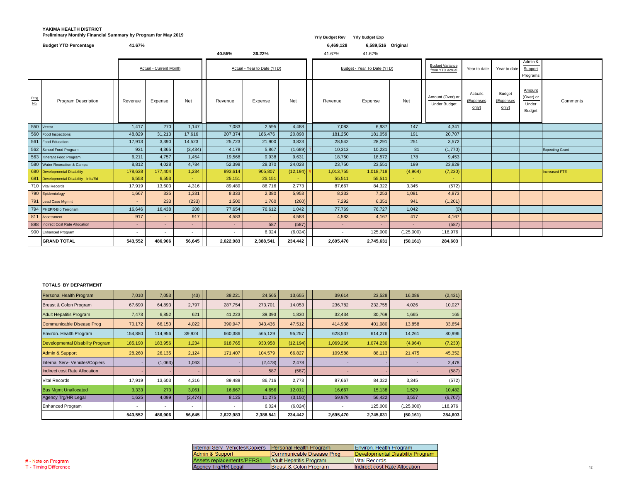### **YAKIMA HEALTH DISTRICT Preliminary Monthly Financial Summary by Program for May 2019** *Yrly Budget Rev* **Yrly Budget Rev Yrly budget Exp**

|             | <b>Budget YTD Percentage</b>            | 41.67%  |                               |          | 40.55%                      | 36.22%         |           | 6,469,128<br>41.67% | 6,589,516 Original<br>41.67% |           |                                           |                                      |                                     |                                               |                        |
|-------------|-----------------------------------------|---------|-------------------------------|----------|-----------------------------|----------------|-----------|---------------------|------------------------------|-----------|-------------------------------------------|--------------------------------------|-------------------------------------|-----------------------------------------------|------------------------|
|             |                                         |         | <b>Actual - Current Month</b> |          | Actual - Year to Date (YTD) |                |           |                     | Budget - Year To Date (YTD)  |           | <b>Budget Variance</b><br>from YTD actual | Year to date                         | Year to date                        | Admin &<br>Support<br>Programs                |                        |
| Prog<br>No. | <b>Program Description</b>              | Revenue | <b>Expense</b>                | $Net$    | Revenue                     | <b>Expense</b> | $Net$     | Revenue             | Expense                      | $Net$     | Amount (Over) or<br><b>Under Budget</b>   | <b>Actuals</b><br>(Expenses<br>only) | <b>Budget</b><br>(Expenses<br>only) | Amount<br>(Over) or<br>Under<br><b>Budget</b> | Comments               |
|             | 550 Vector                              | 1,417   | 270                           | 1,147    | 7,083                       | 2,595          | 4,488     | 7,083               | 6,937                        | 147       | 4,341                                     |                                      |                                     |                                               |                        |
| 560         | <b>Food Inspections</b>                 | 48,829  | 31,213                        | 17,616   | 207,374                     | 186,476        | 20,898    | 181,250             | 181,059                      | 191       | 20,707                                    |                                      |                                     |                                               |                        |
| 561         | Food Education                          | 17,913  | 3,390                         | 14,523   | 25,723                      | 21,900         | 3,823     | 28,542              | 28,291                       | 251       | 3,572                                     |                                      |                                     |                                               |                        |
|             | 562 School Food Program                 | 931     | 4,365                         | (3, 434) | 4,178                       | 5,867          | (1,689)   | 10,313              | 10,231                       | 81        | (1,770)                                   |                                      |                                     |                                               | <b>Expecting Grant</b> |
|             | 563 Itinerant Food Program              | 6,211   | 4,757                         | 1,454    | 19,568                      | 9,938          | 9,631     | 18,750              | 18,572                       | 178       | 9,453                                     |                                      |                                     |                                               |                        |
|             | 580 Water Recreation & Camps            | 8,812   | 4,028                         | 4,784    | 52,398                      | 28,370         | 24,028    | 23,750              | 23,551                       | 199       | 23,829                                    |                                      |                                     |                                               |                        |
|             | 680 Developmental Disability            | 178,638 | 177,404                       | 1,234    | 893,614                     | 905,807        | (12, 194) | 1,013,755           | 1,018,718                    | (4,964)   | (7, 230)                                  |                                      |                                     |                                               | Increased FTE          |
|             | 681  Developmental Disability - Info/Ed | 6,553   | 6,553                         | $\sim$   | 25,151                      | 25,151         | $\sim$    | 55,511              | 55,511                       | $\sim$ .  | $\sim$                                    |                                      |                                     |                                               |                        |
|             | 710 Vital Records                       | 17,919  | 13,603                        | 4,316    | 89,489                      | 86,716         | 2,773     | 87,667              | 84,322                       | 3,345     | (572)                                     |                                      |                                     |                                               |                        |
|             | 790 Epidemiology                        | 1,667   | 335                           | 1,331    | 8,333                       | 2,380          | 5,953     | 8,333               | 7,253                        | 1,081     | 4,873                                     |                                      |                                     |                                               |                        |
| 791         | Lead Case Mgmnt                         | $\sim$  | 233                           | (233)    | 1,500                       | 1,760          | (260)     | 7,292               | 6,351                        | 941       | (1,201)                                   |                                      |                                     |                                               |                        |
|             | 794 PHEPR-Bio Terrorism                 | 16,646  | 16,438                        | 208      | 77,654                      | 76,612         | 1,042     | 77,769              | 76,727                       | 1,042     | (0)                                       |                                      |                                     |                                               |                        |
| 811         | Assessment                              | 917     | <b>Contract</b>               | 917      | 4,583                       | $\sim$         | 4,583     | 4,583               | 4,167                        | 417       | 4,167                                     |                                      |                                     |                                               |                        |
|             | 888  Indirect Cost Rate Allocation      | $\sim$  |                               | $\sim$   |                             | 587            | (587)     | $\sim$              |                              |           | (587)                                     |                                      |                                     |                                               |                        |
|             | 900 Enhanced Program                    | $\sim$  | $\overline{\phantom{0}}$      | $\sim$   | $\sim$                      | 6,024          | (6,024)   | $\sim$              | 125,000                      | (125,000) | 118,976                                   |                                      |                                     |                                               |                        |
|             | <b>GRAND TOTAL</b>                      | 543,552 | 486,906                       | 56,645   | 2,622,983                   | 2,388,541      | 234,442   | 2,695,470           | 2,745,631                    | (50, 161) | 284,603                                   |                                      |                                     |                                               |                        |

#### **TOTALS BY DEPARTMENT**

| Personal Health Program                 | 7,010                    | 7,053                    | (43)                     | 38,221         | 24,565    | 13,655    | 39,614    | 23,528    | 16,086    | (2, 431) |
|-----------------------------------------|--------------------------|--------------------------|--------------------------|----------------|-----------|-----------|-----------|-----------|-----------|----------|
| Breast & Colon Program                  | 67,690                   | 64,893                   | 2,797                    | 287,754        | 273,701   | 14,053    | 236,782   | 232,755   | 4,026     | 10,027   |
| <b>Adult Hepatitis Program</b>          | 7,473                    | 6,852                    | 621                      | 41,223         | 39,393    | 1,830     | 32,434    | 30,769    | 1,665     | 165      |
| Communicable Disease Prog               | 70,172                   | 66,150                   | 4,022                    | 390,947        | 343,436   | 47,512    | 414,938   | 401,080   | 13,858    | 33,654   |
| Environ. Health Program                 | 154,880                  | 114,956                  | 39,924                   | 660,386        | 565,129   | 95,257    | 628,537   | 614,276   | 14,261    | 80,996   |
| <b>Developmental Disability Program</b> | 185,190                  | 183,956                  | 1,234                    | 918,765        | 930,958   | (12, 194) | 1,069,266 | 1,074,230 | (4,964)   | (7, 230) |
| Admin & Support                         | 28,260                   | 26,135                   | 2,124                    | 171,407        | 104,579   | 66,827    | 109,588   | 88,113    | 21,475    | 45,352   |
| Internal Serv- Vehicles/Copiers         |                          | (1,063)                  | 1,063                    |                | (2, 478)  | 2,478     |           |           |           | 2,478    |
| Indirect cost Rate Allocation           |                          |                          |                          |                | 587       | (587)     |           |           |           | (587)    |
| <b>Vital Records</b>                    | 17,919                   | 13,603                   | 4,316                    | 89,489         | 86,716    | 2,773     | 87,667    | 84,322    | 3,345     | (572)    |
| <b>Bus Mgmt Unallocated</b>             | 3,333                    | 273                      | 3,061                    | 16,667         | 4,656     | 12,011    | 16,667    | 15,138    | 1,529     | 10,482   |
| Agency Trg/HR Legal                     | 1,625                    | 4,099                    | (2, 474)                 | 8,125          | 11,275    | (3, 150)  | 59,979    | 56,422    | 3,557     | (6,707)  |
| Enhanced Program                        | $\overline{\phantom{a}}$ | $\overline{\phantom{a}}$ | $\overline{\phantom{0}}$ | $\blacksquare$ | 6,024     | (6,024)   |           | 125,000   | (125,000) | 118,976  |
|                                         | 543,552                  | 486,906                  | 56,645                   | 2,622,983      | 2,388,541 | 234,442   | 2,695,470 | 2,745,631 | (50, 161) | 284,603  |

| Internal Serv- Vehicles/Copiers   Personal Health Program |                           | Environ. Health Program          |
|-----------------------------------------------------------|---------------------------|----------------------------------|
| Admin & Support                                           | Communicable Disease Prog | Developmental Disability Program |
| Assets replacements/PERS1                                 | Adult Hepatitis Program   | Vital Records                    |
| Agency Trg/HR Legal                                       | Breast & Colon Program    | Indirect cost Rate Allocation    |